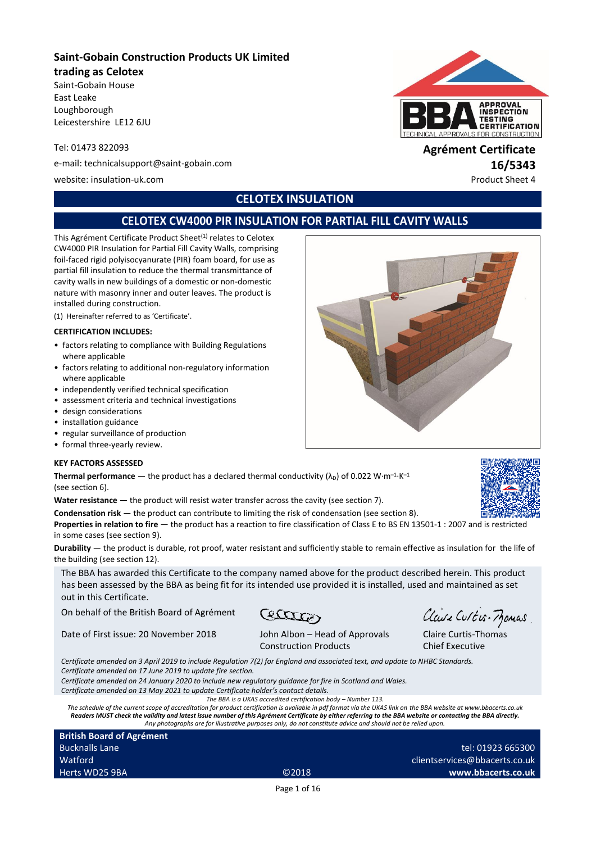## **Saint-Gobain Construction Products UK Limited**

#### **trading as Celotex**

Saint-Gobain House East Leake Loughborough Leicestershire LE12 6JU

e-mail: technicalsupport@saint-gobain.com **16/5343**

website: insulation-uk.com **Product Sheet 4** and the extension of the extension of the extension of the extension

# **CELOTEX INSULATION**

# **CELOTEX CW4000 PIR INSULATION FOR PARTIAL FILL CAVITY WALLS**

This Agrément Certificate Product Sheet<sup>(1)</sup> relates to Celotex CW4000 PIR Insulation for Partial Fill Cavity Walls, comprising foil-faced rigid polyisocyanurate (PIR) foam board, for use as partial fill insulation to reduce the thermal transmittance of cavity walls in new buildings of a domestic or non-domestic nature with masonry inner and outer leaves. The product is installed during construction.

(1) Hereinafter referred to as 'Certificate'.

#### **CERTIFICATION INCLUDES:**

- factors relating to compliance with Building Regulations where applicable
- factors relating to additional non-regulatory information where applicable
- independently verified technical specification
- assessment criteria and technical investigations
- design considerations
- installation guidance
- regular surveillance of production
- formal three-yearly review.

#### **KEY FACTORS ASSESSED**

**Thermal performance**  $-$  the product has a declared thermal conductivity ( $\lambda_D$ ) of 0.022 W·m<sup>-1</sup>·K<sup>-1</sup> (see section 6).

Water resistance — the product will resist water transfer across the cavity (see section 7).

**Condensation risk** — the product can contribute to limiting the risk of condensation (see section 8).

**Properties in relation to fire** — the product has a reaction to fire classification of Class E to BS EN 13501-1 : 2007 and is restricted in some cases (see section 9).

**Durability** — the product is durable, rot proof, water resistant and sufficiently stable to remain effective as insulation for the life of the building (see section 12).

The BBA has awarded this Certificate to the company named above for the product described herein. This product has been assessed by the BBA as being fit for its intended use provided it is installed, used and maintained as set out in this Certificate.

Carry

On behalf of the British Board of Agrément

Date of First issue: 20 November 2018 John Albon – Head of Approvals

Construction Products

*Certificate amended on 3 April 2019 to include Regulation 7(2) for England and associated text, and update to NHBC Standards.*

*Certificate amended on 17 June 2019 to update fire section.*

*Certificate amended on 24 January 2020 to include new regulatory guidance for fire in Scotland and Wales.*

*Certificate amended on 13 May 2021 to update Certificate holder's contact details.*

*The BBA is a UKAS accredited certification body – Number 113.*

*The schedule of the current scope of accreditation for product certification is available in pdf format via the UKAS link on the BBA website at www.bbacerts.co.uk Readers MUST check the validity and latest issue number of this Agrément Certificate by either referring to the BBA website or contacting the BBA directly. Any photographs are for illustrative purposes only, do not constitute advice and should not be relied upon.*

**British Board of Agrément** Bucknalls Lane **Watford** Herts WD25 9BA ©2018

tel: 01923 665300 clientservices@bbacerts.co.uk **www.bbacerts.co.uk**

Page 1 of 16

ROVALS FOR CONSTRUCTION Tel: 01473 822093 **Agrément Certificate**

**APPROVAL INSPECTION TESTING CERTIFICATION** 



Clause Curtis-Momas Claire Curtis-Thomas

Chief Executive



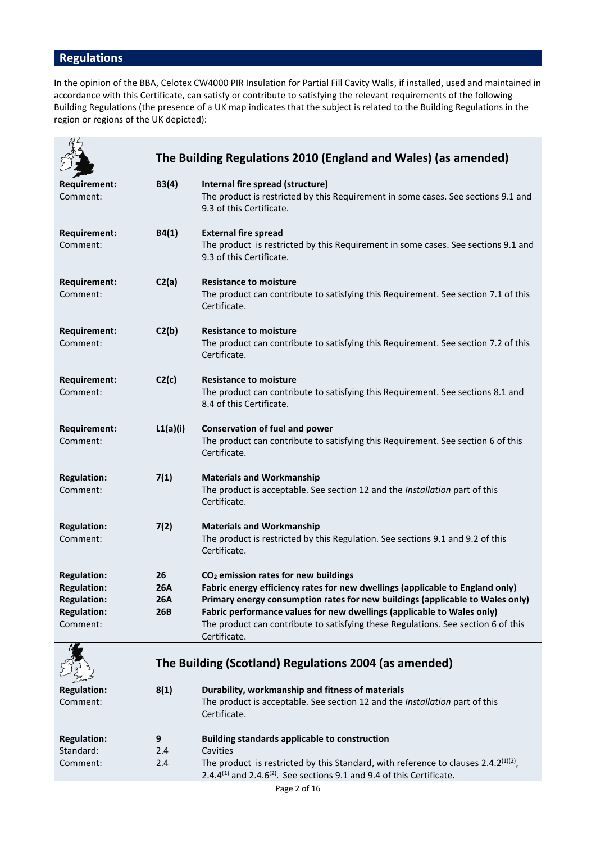# **Regulations**

In the opinion of the BBA, Celotex CW4000 PIR Insulation for Partial Fill Cavity Walls, if installed, used and maintained in accordance with this Certificate, can satisfy or contribute to satisfying the relevant requirements of the following Building Regulations (the presence of a UK map indicates that the subject is related to the Building Regulations in the region or regions of the UK depicted):

|                                                                                                  |                                | The Building Regulations 2010 (England and Wales) (as amended)                                                                                                                                                                                                                                                                                                                                    |  |
|--------------------------------------------------------------------------------------------------|--------------------------------|---------------------------------------------------------------------------------------------------------------------------------------------------------------------------------------------------------------------------------------------------------------------------------------------------------------------------------------------------------------------------------------------------|--|
| Requirement:<br>Comment:                                                                         | B3(4)                          | Internal fire spread (structure)<br>The product is restricted by this Requirement in some cases. See sections 9.1 and<br>9.3 of this Certificate.                                                                                                                                                                                                                                                 |  |
| <b>Requirement:</b><br>Comment:                                                                  | B4(1)                          | <b>External fire spread</b><br>The product is restricted by this Requirement in some cases. See sections 9.1 and<br>9.3 of this Certificate.                                                                                                                                                                                                                                                      |  |
| <b>Requirement:</b><br>Comment:                                                                  | C2(a)                          | <b>Resistance to moisture</b><br>The product can contribute to satisfying this Requirement. See section 7.1 of this<br>Certificate.                                                                                                                                                                                                                                                               |  |
| <b>Requirement:</b><br>Comment:                                                                  | C2(b)                          | <b>Resistance to moisture</b><br>The product can contribute to satisfying this Requirement. See section 7.2 of this<br>Certificate.                                                                                                                                                                                                                                                               |  |
| <b>Requirement:</b><br>Comment:                                                                  | C2(c)                          | <b>Resistance to moisture</b><br>The product can contribute to satisfying this Requirement. See sections 8.1 and<br>8.4 of this Certificate.                                                                                                                                                                                                                                                      |  |
| <b>Requirement:</b><br>Comment:                                                                  | L1(a)(i)                       | <b>Conservation of fuel and power</b><br>The product can contribute to satisfying this Requirement. See section 6 of this<br>Certificate.                                                                                                                                                                                                                                                         |  |
| <b>Regulation:</b><br>Comment:                                                                   | 7(1)                           | <b>Materials and Workmanship</b><br>The product is acceptable. See section 12 and the Installation part of this<br>Certificate.                                                                                                                                                                                                                                                                   |  |
| <b>Regulation:</b><br>Comment:                                                                   | 7(2)                           | <b>Materials and Workmanship</b><br>The product is restricted by this Regulation. See sections 9.1 and 9.2 of this<br>Certificate.                                                                                                                                                                                                                                                                |  |
| <b>Regulation:</b><br><b>Regulation:</b><br><b>Regulation:</b><br><b>Regulation:</b><br>Comment: | 26<br>26A<br><b>26A</b><br>26B | CO <sub>2</sub> emission rates for new buildings<br>Fabric energy efficiency rates for new dwellings (applicable to England only)<br>Primary energy consumption rates for new buildings (applicable to Wales only)<br>Fabric performance values for new dwellings (applicable to Wales only)<br>The product can contribute to satisfying these Regulations. See section 6 of this<br>Certificate. |  |
|                                                                                                  |                                | The Building (Scotland) Regulations 2004 (as amended)                                                                                                                                                                                                                                                                                                                                             |  |
| <b>Regulation:</b><br>Comment:                                                                   | 8(1)                           | Durability, workmanship and fitness of materials<br>The product is acceptable. See section 12 and the Installation part of this<br>Certificate.                                                                                                                                                                                                                                                   |  |
| <b>Regulation:</b><br>Standard:<br>Comment:                                                      | 9<br>2.4<br>2.4                | <b>Building standards applicable to construction</b><br>Cavities<br>The product is restricted by this Standard, with reference to clauses 2.4.2 <sup>(1)(2)</sup> ,<br>2.4.4 $^{(1)}$ and 2.4.6 $^{(2)}$ . See sections 9.1 and 9.4 of this Certificate.                                                                                                                                          |  |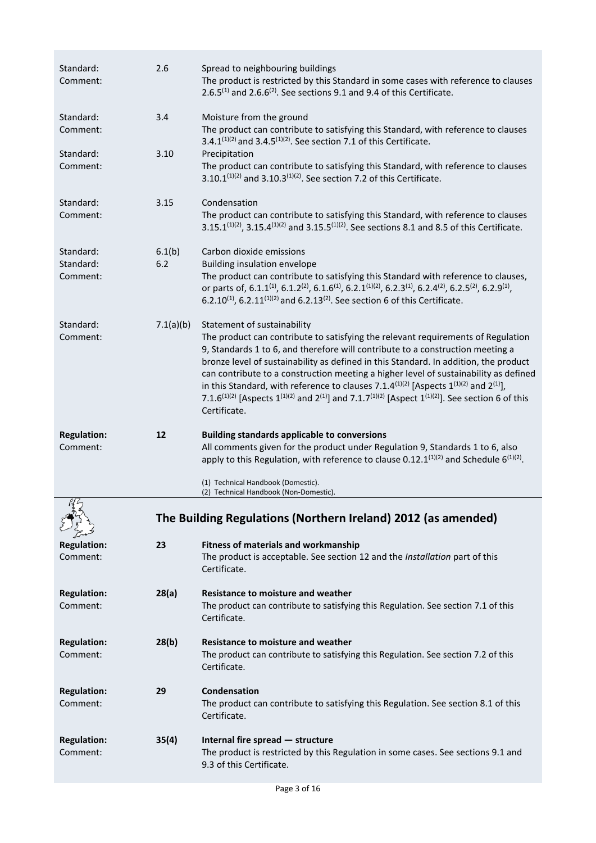| Standard:<br>Comment:              | 2.6           | Spread to neighbouring buildings<br>The product is restricted by this Standard in some cases with reference to clauses<br>2.6.5 <sup>(1)</sup> and 2.6.6 <sup>(2)</sup> . See sections 9.1 and 9.4 of this Certificate.                                                                                                                                                                                                                                                                                                                                                                                                                                             |
|------------------------------------|---------------|---------------------------------------------------------------------------------------------------------------------------------------------------------------------------------------------------------------------------------------------------------------------------------------------------------------------------------------------------------------------------------------------------------------------------------------------------------------------------------------------------------------------------------------------------------------------------------------------------------------------------------------------------------------------|
| Standard:<br>Comment:              | 3.4           | Moisture from the ground<br>The product can contribute to satisfying this Standard, with reference to clauses<br>3.4.1(1)(2) and 3.4.5(1)(2). See section 7.1 of this Certificate.                                                                                                                                                                                                                                                                                                                                                                                                                                                                                  |
| Standard:<br>Comment:              | 3.10          | Precipitation<br>The product can contribute to satisfying this Standard, with reference to clauses<br>3.10.1 <sup>(1)(2)</sup> and 3.10.3 <sup>(1)(2)</sup> . See section 7.2 of this Certificate.                                                                                                                                                                                                                                                                                                                                                                                                                                                                  |
| Standard:<br>Comment:              | 3.15          | Condensation<br>The product can contribute to satisfying this Standard, with reference to clauses<br>3.15.1 <sup>(1)(2)</sup> , 3.15.4 <sup>(1)(2)</sup> and 3.15.5 <sup>(1)(2)</sup> . See sections 8.1 and 8.5 of this Certificate.                                                                                                                                                                                                                                                                                                                                                                                                                               |
| Standard:<br>Standard:<br>Comment: | 6.1(b)<br>6.2 | Carbon dioxide emissions<br><b>Building insulation envelope</b><br>The product can contribute to satisfying this Standard with reference to clauses,<br>or parts of, 6.1.1 <sup>(1)</sup> , 6.1.2 <sup>(2)</sup> , 6.1.6 <sup>(1)</sup> , 6.2.1 <sup>(1)</sup> (2), 6.2.3 <sup>(1)</sup> , 6.2.4 <sup>(2)</sup> , 6.2.5 <sup>(2)</sup> , 6.2.9 <sup>(1)</sup> ,<br>6.2.10 <sup>(1)</sup> , 6.2.11 <sup>(1)(2)</sup> and 6.2.13 <sup>(2)</sup> . See section 6 of this Certificate.                                                                                                                                                                                  |
| Standard:<br>Comment:              | 7.1(a)(b)     | Statement of sustainability<br>The product can contribute to satisfying the relevant requirements of Regulation<br>9, Standards 1 to 6, and therefore will contribute to a construction meeting a<br>bronze level of sustainability as defined in this Standard. In addition, the product<br>can contribute to a construction meeting a higher level of sustainability as defined<br>in this Standard, with reference to clauses 7.1.4(1)(2) [Aspects $1^{(1)(2)}$ and $2^{(1)}$ ],<br>7.1.6 <sup>(1)(2)</sup> [Aspects 1 <sup>(1)(2)</sup> and 2 <sup>(1)</sup> ] and 7.1.7 <sup>(1)(2)</sup> [Aspect 1 <sup>(1)(2)</sup> ]. See section 6 of this<br>Certificate. |
|                                    |               |                                                                                                                                                                                                                                                                                                                                                                                                                                                                                                                                                                                                                                                                     |
| <b>Regulation:</b><br>Comment:     | 12            | <b>Building standards applicable to conversions</b><br>All comments given for the product under Regulation 9, Standards 1 to 6, also<br>apply to this Regulation, with reference to clause 0.12.1 $(1)(2)$ and Schedule 6 $(1)(2)$ .                                                                                                                                                                                                                                                                                                                                                                                                                                |
|                                    |               | (1) Technical Handbook (Domestic).<br>(2) Technical Handbook (Non-Domestic).                                                                                                                                                                                                                                                                                                                                                                                                                                                                                                                                                                                        |
| 籽                                  |               | The Building Regulations (Northern Ireland) 2012 (as amended)                                                                                                                                                                                                                                                                                                                                                                                                                                                                                                                                                                                                       |
| <b>Regulation:</b><br>Comment:     | 23            | Fitness of materials and workmanship<br>The product is acceptable. See section 12 and the Installation part of this<br>Certificate.                                                                                                                                                                                                                                                                                                                                                                                                                                                                                                                                 |
| <b>Regulation:</b><br>Comment:     | 28(a)         | <b>Resistance to moisture and weather</b><br>The product can contribute to satisfying this Regulation. See section 7.1 of this<br>Certificate.                                                                                                                                                                                                                                                                                                                                                                                                                                                                                                                      |
| <b>Regulation:</b><br>Comment:     | 28(b)         | <b>Resistance to moisture and weather</b><br>The product can contribute to satisfying this Regulation. See section 7.2 of this<br>Certificate.                                                                                                                                                                                                                                                                                                                                                                                                                                                                                                                      |
| <b>Regulation:</b><br>Comment:     | 29            | Condensation<br>The product can contribute to satisfying this Regulation. See section 8.1 of this<br>Certificate.                                                                                                                                                                                                                                                                                                                                                                                                                                                                                                                                                   |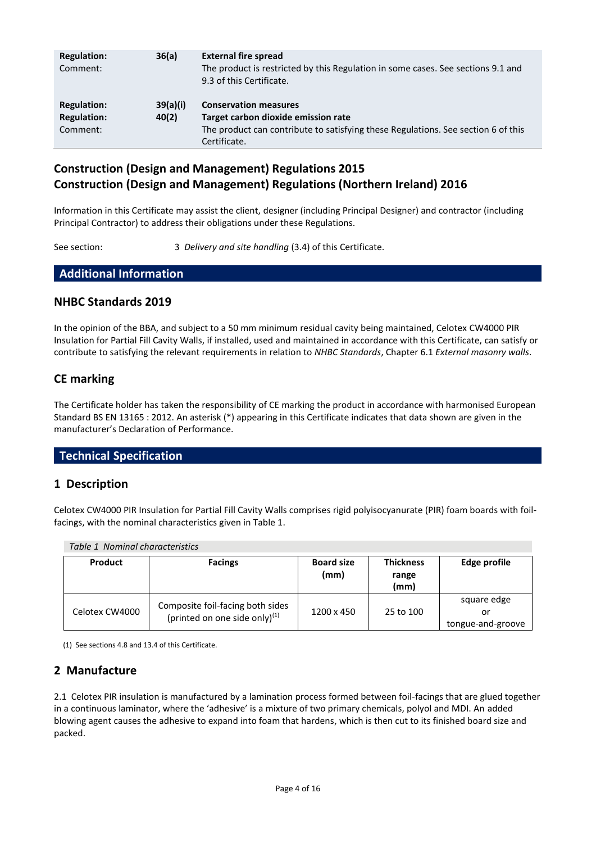| <b>Regulation:</b><br>Comment:                       | 36(a)             | <b>External fire spread</b><br>The product is restricted by this Regulation in some cases. See sections 9.1 and<br>9.3 of this Certificate.                              |
|------------------------------------------------------|-------------------|--------------------------------------------------------------------------------------------------------------------------------------------------------------------------|
| <b>Regulation:</b><br><b>Regulation:</b><br>Comment: | 39(a)(i)<br>40(2) | <b>Conservation measures</b><br>Target carbon dioxide emission rate<br>The product can contribute to satisfying these Regulations. See section 6 of this<br>Certificate. |

# **Construction (Design and Management) Regulations 2015 Construction (Design and Management) Regulations (Northern Ireland) 2016**

Information in this Certificate may assist the client, designer (including Principal Designer) and contractor (including Principal Contractor) to address their obligations under these Regulations.

See section: 3 *Delivery and site handling* (3.4) of this Certificate.

# **Additional Information**

### **NHBC Standards 2019**

In the opinion of the BBA, and subject to a 50 mm minimum residual cavity being maintained, Celotex CW4000 PIR Insulation for Partial Fill Cavity Walls, if installed, used and maintained in accordance with this Certificate, can satisfy or contribute to satisfying the relevant requirements in relation to *NHBC Standards*, Chapter 6.1 *External masonry walls*.

# **CE marking**

The Certificate holder has taken the responsibility of CE marking the product in accordance with harmonised European Standard BS EN 13165 : 2012. An asterisk (\*) appearing in this Certificate indicates that data shown are given in the manufacturer's Declaration of Performance.

### **Technical Specification**

## **1 Description**

Celotex CW4000 PIR Insulation for Partial Fill Cavity Walls comprises rigid polyisocyanurate (PIR) foam boards with foilfacings, with the nominal characteristics given in Table 1.

| Table 1 Nominal characteristics |                                                                      |                           |                                   |                                        |
|---------------------------------|----------------------------------------------------------------------|---------------------------|-----------------------------------|----------------------------------------|
| Product                         | <b>Facings</b>                                                       | <b>Board size</b><br>(mm) | <b>Thickness</b><br>range<br>(mm) | Edge profile                           |
| Celotex CW4000                  | Composite foil-facing both sides<br>(printed on one side only) $(1)$ | 1200 x 450                | 25 to 100                         | square edge<br>or<br>tongue-and-groove |

(1) See sections 4.8 and 13.4 of this Certificate.

## **2 Manufacture**

2.1 Celotex PIR insulation is manufactured by a lamination process formed between foil-facings that are glued together in a continuous laminator, where the 'adhesive' is a mixture of two primary chemicals, polyol and MDI. An added blowing agent causes the adhesive to expand into foam that hardens, which is then cut to its finished board size and packed.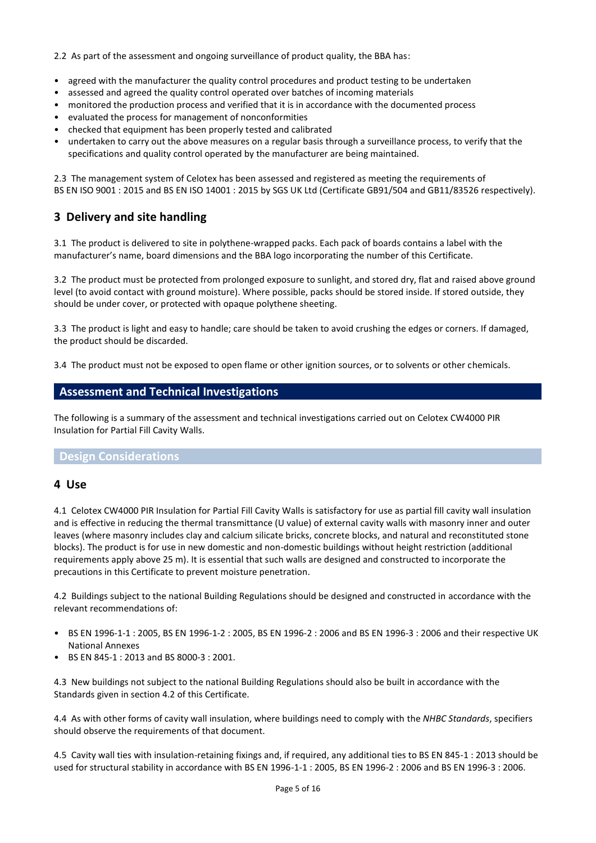2.2 As part of the assessment and ongoing surveillance of product quality, the BBA has:

- agreed with the manufacturer the quality control procedures and product testing to be undertaken
- assessed and agreed the quality control operated over batches of incoming materials
- monitored the production process and verified that it is in accordance with the documented process
- evaluated the process for management of nonconformities
- checked that equipment has been properly tested and calibrated
- undertaken to carry out the above measures on a regular basis through a surveillance process, to verify that the specifications and quality control operated by the manufacturer are being maintained.

2.3 The management system of Celotex has been assessed and registered as meeting the requirements of BS EN ISO 9001 : 2015 and BS EN ISO 14001 : 2015 by SGS UK Ltd (Certificate GB91/504 and GB11/83526 respectively).

## **3 Delivery and site handling**

3.1 The product is delivered to site in polythene-wrapped packs. Each pack of boards contains a label with the manufacturer's name, board dimensions and the BBA logo incorporating the number of this Certificate.

3.2 The product must be protected from prolonged exposure to sunlight, and stored dry, flat and raised above ground level (to avoid contact with ground moisture). Where possible, packs should be stored inside. If stored outside, they should be under cover, or protected with opaque polythene sheeting.

3.3 The product is light and easy to handle; care should be taken to avoid crushing the edges or corners. If damaged, the product should be discarded.

3.4 The product must not be exposed to open flame or other ignition sources, or to solvents or other chemicals.

### **Assessment and Technical Investigations**

The following is a summary of the assessment and technical investigations carried out on Celotex CW4000 PIR Insulation for Partial Fill Cavity Walls.

### **Design Considerations**

### **4 Use**

4.1 Celotex CW4000 PIR Insulation for Partial Fill Cavity Walls is satisfactory for use as partial fill cavity wall insulation and is effective in reducing the thermal transmittance (U value) of external cavity walls with masonry inner and outer leaves (where masonry includes clay and calcium silicate bricks, concrete blocks, and natural and reconstituted stone blocks). The product is for use in new domestic and non-domestic buildings without height restriction (additional requirements apply above 25 m). It is essential that such walls are designed and constructed to incorporate the precautions in this Certificate to prevent moisture penetration.

4.2 Buildings subject to the national Building Regulations should be designed and constructed in accordance with the relevant recommendations of:

- BS EN 1996-1-1 : 2005, BS EN 1996-1-2 : 2005, BS EN 1996-2 : 2006 and BS EN 1996-3 : 2006 and their respective UK National Annexes
- BS EN 845-1 : 2013 and BS 8000-3 : 2001.

4.3 New buildings not subject to the national Building Regulations should also be built in accordance with the Standards given in section 4.2 of this Certificate.

4.4 As with other forms of cavity wall insulation, where buildings need to comply with the *NHBC Standards*, specifiers should observe the requirements of that document.

4.5 Cavity wall ties with insulation-retaining fixings and, if required, any additional ties to BS EN 845-1 : 2013 should be used for structural stability in accordance with BS EN 1996-1-1 : 2005, BS EN 1996-2 : 2006 and BS EN 1996-3 : 2006.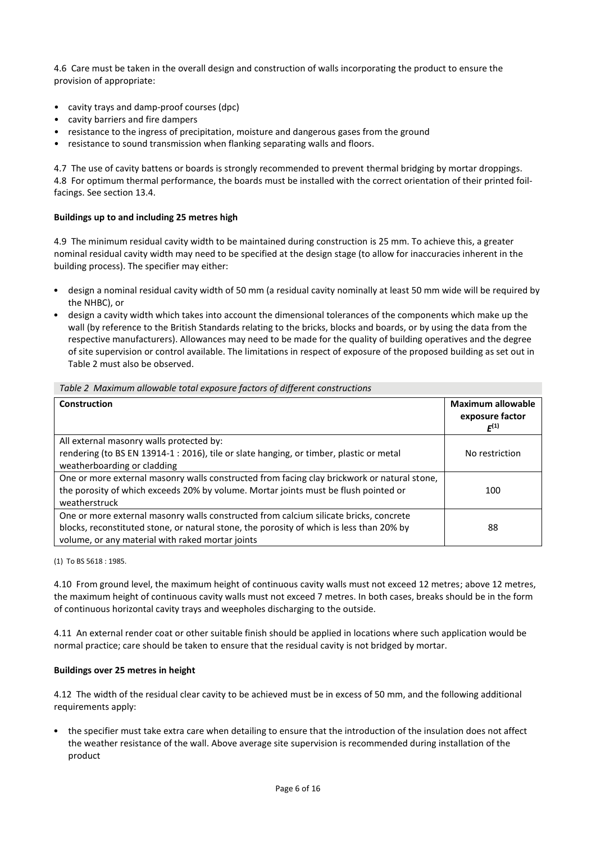4.6 Care must be taken in the overall design and construction of walls incorporating the product to ensure the provision of appropriate:

- cavity trays and damp-proof courses (dpc)
- cavity barriers and fire dampers
- resistance to the ingress of precipitation, moisture and dangerous gases from the ground
- resistance to sound transmission when flanking separating walls and floors.

4.7 The use of cavity battens or boards is strongly recommended to prevent thermal bridging by mortar droppings. 4.8 For optimum thermal performance, the boards must be installed with the correct orientation of their printed foilfacings. See section 13.4.

#### **Buildings up to and including 25 metres high**

4.9 The minimum residual cavity width to be maintained during construction is 25 mm. To achieve this, a greater nominal residual cavity width may need to be specified at the design stage (to allow for inaccuracies inherent in the building process). The specifier may either:

- design a nominal residual cavity width of 50 mm (a residual cavity nominally at least 50 mm wide will be required by the NHBC), or
- design a cavity width which takes into account the dimensional tolerances of the components which make up the wall (by reference to the British Standards relating to the bricks, blocks and boards, or by using the data from the respective manufacturers). Allowances may need to be made for the quality of building operatives and the degree of site supervision or control available. The limitations in respect of exposure of the proposed building as set out in Table 2 must also be observed.

| <b>Construction</b>                                                                         | <b>Maximum allowable</b><br>exposure factor<br>$F^{(1)}$ |
|---------------------------------------------------------------------------------------------|----------------------------------------------------------|
| All external masonry walls protected by:                                                    |                                                          |
| rendering (to BS EN 13914-1 : 2016), tile or slate hanging, or timber, plastic or metal     | No restriction                                           |
| weatherboarding or cladding                                                                 |                                                          |
| One or more external masonry walls constructed from facing clay brickwork or natural stone, |                                                          |
| the porosity of which exceeds 20% by volume. Mortar joints must be flush pointed or         | 100                                                      |
| weatherstruck                                                                               |                                                          |
| One or more external masonry walls constructed from calcium silicate bricks, concrete       |                                                          |
| blocks, reconstituted stone, or natural stone, the porosity of which is less than 20% by    | 88                                                       |
| volume, or any material with raked mortar joints                                            |                                                          |

*Table 2 Maximum allowable total exposure factors of different constructions*

(1) To BS 5618 : 1985.

4.10 From ground level, the maximum height of continuous cavity walls must not exceed 12 metres; above 12 metres, the maximum height of continuous cavity walls must not exceed 7 metres. In both cases, breaks should be in the form of continuous horizontal cavity trays and weepholes discharging to the outside.

4.11 An external render coat or other suitable finish should be applied in locations where such application would be normal practice; care should be taken to ensure that the residual cavity is not bridged by mortar.

#### **Buildings over 25 metres in height**

4.12 The width of the residual clear cavity to be achieved must be in excess of 50 mm, and the following additional requirements apply:

• the specifier must take extra care when detailing to ensure that the introduction of the insulation does not affect the weather resistance of the wall. Above average site supervision is recommended during installation of the product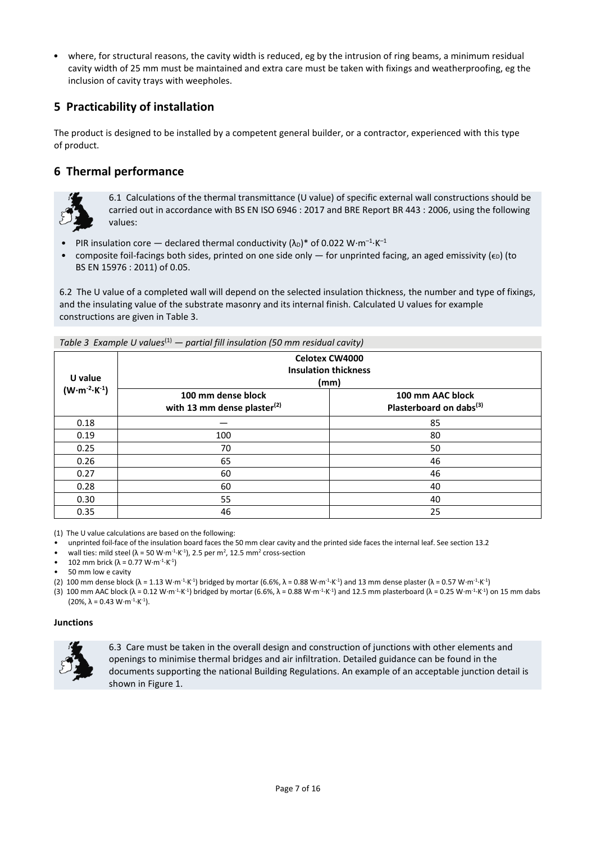• where, for structural reasons, the cavity width is reduced, eg by the intrusion of ring beams, a minimum residual cavity width of 25 mm must be maintained and extra care must be taken with fixings and weatherproofing, eg the inclusion of cavity trays with weepholes.

# **5 Practicability of installation**

The product is designed to be installed by a competent general builder, or a contractor, experienced with this type of product.

# **6 Thermal performance**



6.1 Calculations of the thermal transmittance (U value) of specific external wall constructions should be carried out in accordance with BS EN ISO 6946 : 2017 and BRE Report BR 443 : 2006, using the following values:

- PIR insulation core declared thermal conductivity  $(\lambda_D)^*$  of 0.022 W·m<sup>-1</sup>·K<sup>-1</sup>
- composite foil-facings both sides, printed on one side only for unprinted facing, an aged emissivity ( $\epsilon$ ) (to BS EN 15976 : 2011) of 0.05.

6.2 The U value of a completed wall will depend on the selected insulation thickness, the number and type of fixings, and the insulating value of the substrate masonry and its internal finish. Calculated U values for example constructions are given in Table 3.

| U value                         |                                                      | <b>Celotex CW4000</b><br><b>Insulation thickness</b><br>(mm) |  |
|---------------------------------|------------------------------------------------------|--------------------------------------------------------------|--|
| $(W \cdot m^{-2} \cdot K^{-1})$ | 100 mm dense block<br>with 13 mm dense plaster $(2)$ | 100 mm AAC block<br>Plasterboard on dabs <sup>(3)</sup>      |  |
| 0.18                            |                                                      | 85                                                           |  |
| 0.19                            | 100                                                  | 80                                                           |  |
| 0.25                            | 70                                                   | 50                                                           |  |
| 0.26                            | 65                                                   | 46                                                           |  |
| 0.27                            | 60                                                   | 46                                                           |  |
| 0.28                            | 60                                                   | 40                                                           |  |
| 0.30                            | 55                                                   | 40                                                           |  |
| 0.35                            | 46                                                   | 25                                                           |  |

*Table 3 Example U values*(1) *— partial fill insulation (50 mm residual cavity)*

(1) The U value calculations are based on the following:

- unprinted foil-face of the insulation board faces the 50 mm clear cavity and the printed side faces the internal leaf. See section 13.2
- wall ties: mild steel ( $\lambda$  = 50 W⋅m<sup>-1</sup>⋅K<sup>-1</sup>), 2.5 per m<sup>2</sup>, 12.5 mm<sup>2</sup> cross-section
- 102 mm brick (λ = 0.77 W⋅m<sup>-1</sup>⋅K<sup>-1</sup>)

50 mm low e cavity

- (2) 100 mm dense block ( $\lambda = 1.13$  W⋅m<sup>-1</sup>⋅K<sup>-1</sup>) bridged by mortar (6.6%,  $\lambda = 0.88$  W⋅m<sup>-1</sup>⋅K<sup>-1</sup>) and 13 mm dense plaster ( $\lambda = 0.57$  W⋅m<sup>-1</sup>⋅K<sup>-1</sup>)
- (3) 100 mm AAC block ( $\lambda$  = 0.12 W⋅m<sup>-1</sup>⋅K<sup>-1</sup>) bridged by mortar (6.6%,  $\lambda$  = 0.88 W⋅m<sup>-1⋅K-2</sup>) and 12.5 mm plasterboard ( $\lambda$  = 0.25 W⋅m<sup>-1⋅K-1</sup>) on 15 mm dabs  $(20\%, \lambda = 0.43 W·m<sup>-1</sup>·K<sup>-1</sup>).$

#### **Junctions**



6.3 Care must be taken in the overall design and construction of junctions with other elements and openings to minimise thermal bridges and air infiltration. Detailed guidance can be found in the documents supporting the national Building Regulations. An example of an acceptable junction detail is shown in Figure 1.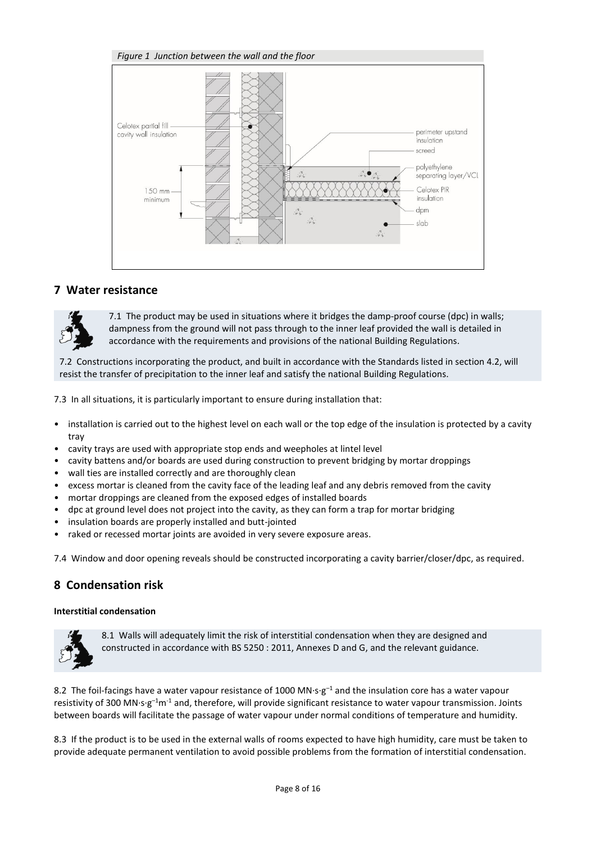

### **7 Water resistance**



7.1 The product may be used in situations where it bridges the damp-proof course (dpc) in walls; dampness from the ground will not pass through to the inner leaf provided the wall is detailed in accordance with the requirements and provisions of the national Building Regulations.

7.2 Constructions incorporating the product, and built in accordance with the Standards listed in section 4.2, will resist the transfer of precipitation to the inner leaf and satisfy the national Building Regulations.

7.3 In all situations, it is particularly important to ensure during installation that:

- installation is carried out to the highest level on each wall or the top edge of the insulation is protected by a cavity tray
- cavity trays are used with appropriate stop ends and weepholes at lintel level
- cavity battens and/or boards are used during construction to prevent bridging by mortar droppings
- wall ties are installed correctly and are thoroughly clean
- excess mortar is cleaned from the cavity face of the leading leaf and any debris removed from the cavity
- mortar droppings are cleaned from the exposed edges of installed boards
- dpc at ground level does not project into the cavity, as they can form a trap for mortar bridging
- insulation boards are properly installed and butt-jointed
- raked or recessed mortar joints are avoided in very severe exposure areas.

7.4 Window and door opening reveals should be constructed incorporating a cavity barrier/closer/dpc, as required.

### **8 Condensation risk**

#### **Interstitial condensation**



8.1 Walls will adequately limit the risk of interstitial condensation when they are designed and constructed in accordance with BS 5250 : 2011, Annexes D and G, and the relevant guidance.

8.2 The foil-facings have a water vapour resistance of 1000 MN·s·g<sup>-1</sup> and the insulation core has a water vapour resistivity of 300 MN·s·g<sup>-1</sup>m<sup>-1</sup> and, therefore, will provide significant resistance to water vapour transmission. Joints between boards will facilitate the passage of water vapour under normal conditions of temperature and humidity.

8.3 If the product is to be used in the external walls of rooms expected to have high humidity, care must be taken to provide adequate permanent ventilation to avoid possible problems from the formation of interstitial condensation.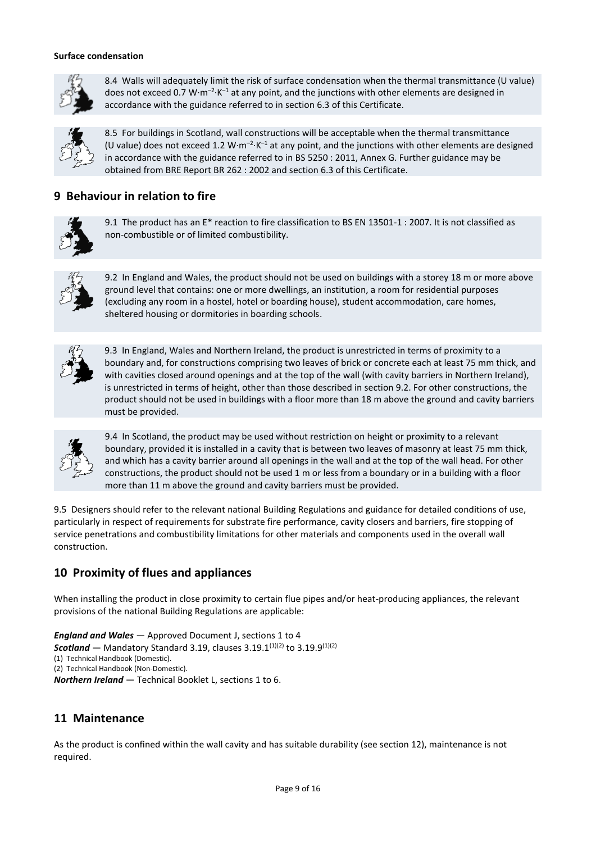#### **Surface condensation**



8.4 Walls will adequately limit the risk of surface condensation when the thermal transmittance (U value) does not exceed 0.7 W $\cdot$ m<sup>-2</sup> $\cdot$ K<sup>-1</sup> at any point, and the junctions with other elements are designed in accordance with the guidance referred to in section 6.3 of this Certificate.



8.5 For buildings in Scotland, wall constructions will be acceptable when the thermal transmittance (U value) does not exceed 1.2 W $\cdot$ m<sup>-2</sup> $\cdot$ K<sup>-1</sup> at any point, and the junctions with other elements are designed in accordance with the guidance referred to in BS 5250 : 2011, Annex G. Further guidance may be obtained from BRE Report BR 262 : 2002 and section 6.3 of this Certificate.

## **9 Behaviour in relation to fire**



9.1 The product has an E\* reaction to fire classification to BS EN 13501-1 : 2007. It is not classified as non-combustible or of limited combustibility.



9.2 In England and Wales, the product should not be used on buildings with a storey 18 m or more above ground level that contains: one or more dwellings, an institution, a room for residential purposes (excluding any room in a hostel, hotel or boarding house), student accommodation, care homes, sheltered housing or dormitories in boarding schools.



9.3 In England, Wales and Northern Ireland, the product is unrestricted in terms of proximity to a boundary and, for constructions comprising two leaves of brick or concrete each at least 75 mm thick, and with cavities closed around openings and at the top of the wall (with cavity barriers in Northern Ireland), is unrestricted in terms of height, other than those described in section 9.2. For other constructions, the product should not be used in buildings with a floor more than 18 m above the ground and cavity barriers must be provided.



9.4 In Scotland, the product may be used without restriction on height or proximity to a relevant boundary, provided it is installed in a cavity that is between two leaves of masonry at least 75 mm thick, and which has a cavity barrier around all openings in the wall and at the top of the wall head. For other constructions, the product should not be used 1 m or less from a boundary or in a building with a floor more than 11 m above the ground and cavity barriers must be provided.

9.5 Designers should refer to the relevant national Building Regulations and guidance for detailed conditions of use, particularly in respect of requirements for substrate fire performance, cavity closers and barriers, fire stopping of service penetrations and combustibility limitations for other materials and components used in the overall wall construction.

# **10 Proximity of flues and appliances**

When installing the product in close proximity to certain flue pipes and/or heat-producing appliances, the relevant provisions of the national Building Regulations are applicable:

*England and Wales* — Approved Document J, sections 1 to 4 **Scotland** — Mandatory Standard 3.19, clauses  $3.19.1^{(1)(2)}$  to  $3.19.9^{(1)(2)}$ (1) Technical Handbook (Domestic). (2) Technical Handbook (Non-Domestic). *Northern Ireland* — Technical Booklet L, sections 1 to 6.

# **11 Maintenance**

As the product is confined within the wall cavity and has suitable durability (see section 12), maintenance is not required.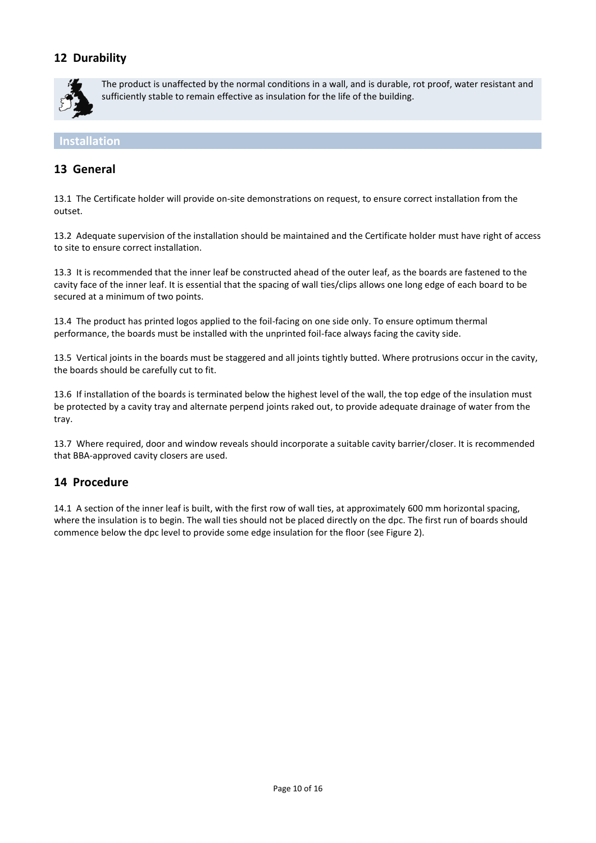# **12 Durability**



The product is unaffected by the normal conditions in a wall, and is durable, rot proof, water resistant and sufficiently stable to remain effective as insulation for the life of the building.

**Installation**

## **13 General**

13.1 The Certificate holder will provide on-site demonstrations on request, to ensure correct installation from the outset.

13.2 Adequate supervision of the installation should be maintained and the Certificate holder must have right of access to site to ensure correct installation.

13.3 It is recommended that the inner leaf be constructed ahead of the outer leaf, as the boards are fastened to the cavity face of the inner leaf. It is essential that the spacing of wall ties/clips allows one long edge of each board to be secured at a minimum of two points.

13.4 The product has printed logos applied to the foil-facing on one side only. To ensure optimum thermal performance, the boards must be installed with the unprinted foil-face always facing the cavity side.

13.5 Vertical joints in the boards must be staggered and all joints tightly butted. Where protrusions occur in the cavity, the boards should be carefully cut to fit.

13.6 If installation of the boards is terminated below the highest level of the wall, the top edge of the insulation must be protected by a cavity tray and alternate perpend joints raked out, to provide adequate drainage of water from the tray.

13.7 Where required, door and window reveals should incorporate a suitable cavity barrier/closer. It is recommended that BBA-approved cavity closers are used.

## **14 Procedure**

14.1 A section of the inner leaf is built, with the first row of wall ties, at approximately 600 mm horizontal spacing, where the insulation is to begin. The wall ties should not be placed directly on the dpc. The first run of boards should commence below the dpc level to provide some edge insulation for the floor (see Figure 2).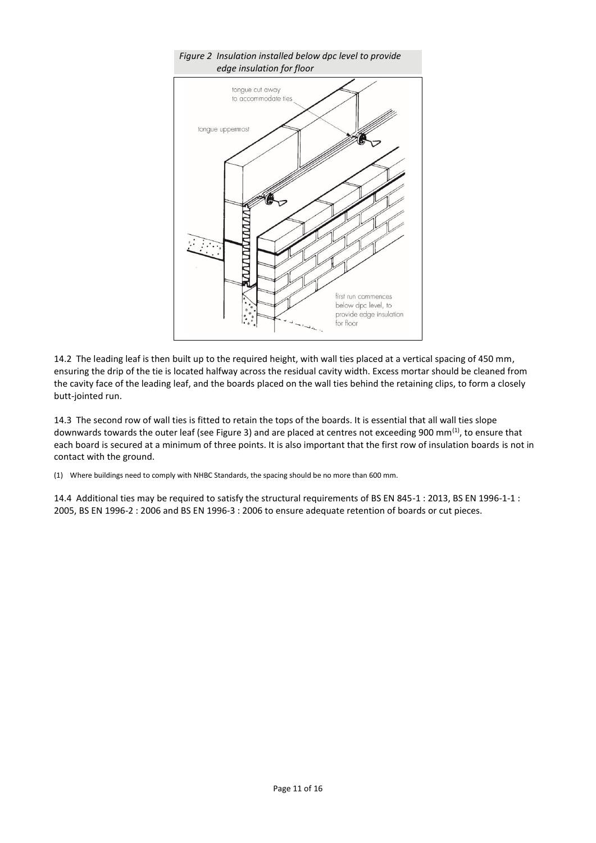

14.2 The leading leaf is then built up to the required height, with wall ties placed at a vertical spacing of 450 mm, ensuring the drip of the tie is located halfway across the residual cavity width. Excess mortar should be cleaned from the cavity face of the leading leaf, and the boards placed on the wall ties behind the retaining clips, to form a closely butt-jointed run.

14.3 The second row of wall ties is fitted to retain the tops of the boards. It is essential that all wall ties slope downwards towards the outer leaf (see Figure 3) and are placed at centres not exceeding 900 mm<sup>(1)</sup>, to ensure that each board is secured at a minimum of three points. It is also important that the first row of insulation boards is not in contact with the ground.

(1) Where buildings need to comply with NHBC Standards, the spacing should be no more than 600 mm.

14.4 Additional ties may be required to satisfy the structural requirements of BS EN 845-1 : 2013, BS EN 1996-1-1 : 2005, BS EN 1996-2 : 2006 and BS EN 1996-3 : 2006 to ensure adequate retention of boards or cut pieces.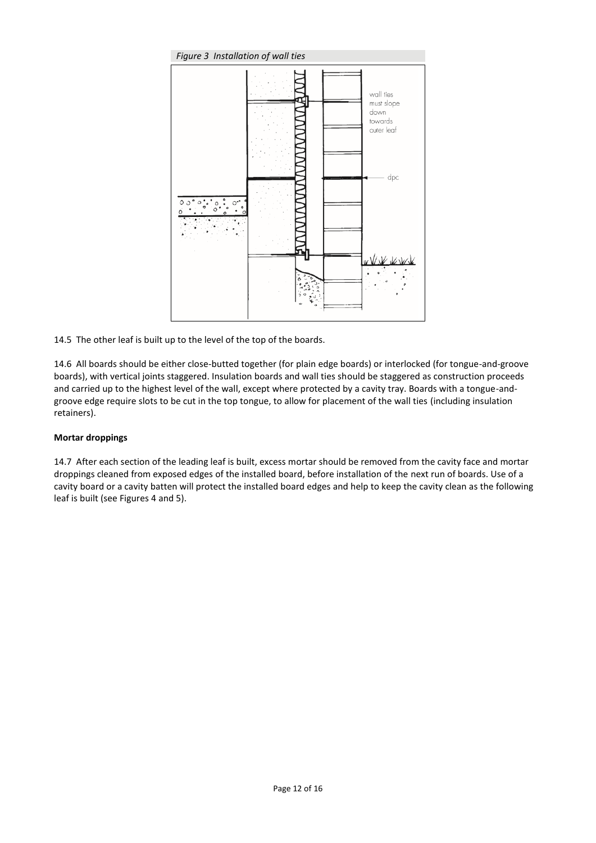

14.5 The other leaf is built up to the level of the top of the boards.

14.6 All boards should be either close-butted together (for plain edge boards) or interlocked (for tongue-and-groove boards), with vertical joints staggered. Insulation boards and wall ties should be staggered as construction proceeds and carried up to the highest level of the wall, except where protected by a cavity tray. Boards with a tongue-andgroove edge require slots to be cut in the top tongue, to allow for placement of the wall ties (including insulation retainers).

### **Mortar droppings**

14.7 After each section of the leading leaf is built, excess mortar should be removed from the cavity face and mortar droppings cleaned from exposed edges of the installed board, before installation of the next run of boards. Use of a cavity board or a cavity batten will protect the installed board edges and help to keep the cavity clean as the following leaf is built (see Figures 4 and 5).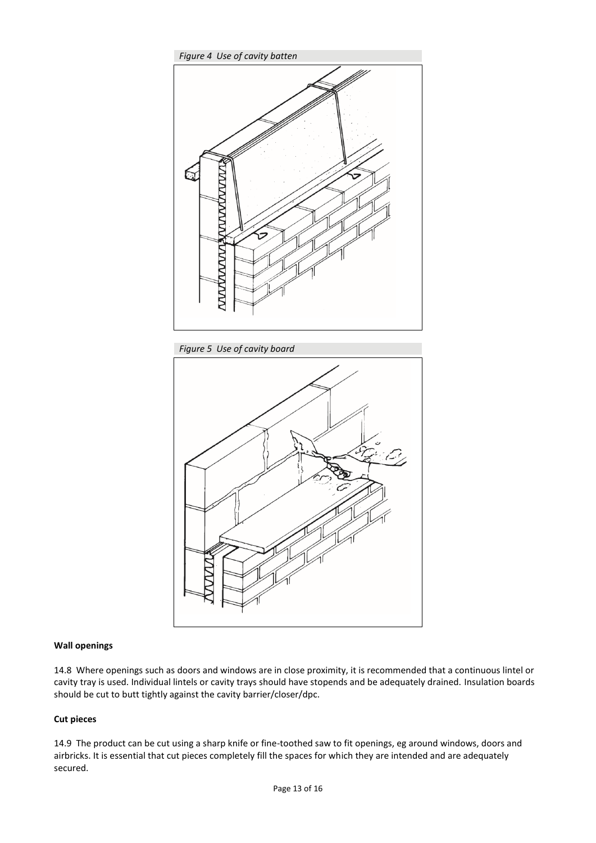





#### **Wall openings**

14.8 Where openings such as doors and windows are in close proximity, it is recommended that a continuous lintel or cavity tray is used. Individual lintels or cavity trays should have stopends and be adequately drained. Insulation boards should be cut to butt tightly against the cavity barrier/closer/dpc.

#### **Cut pieces**

14.9 The product can be cut using a sharp knife or fine-toothed saw to fit openings, eg around windows, doors and airbricks. It is essential that cut pieces completely fill the spaces for which they are intended and are adequately secured.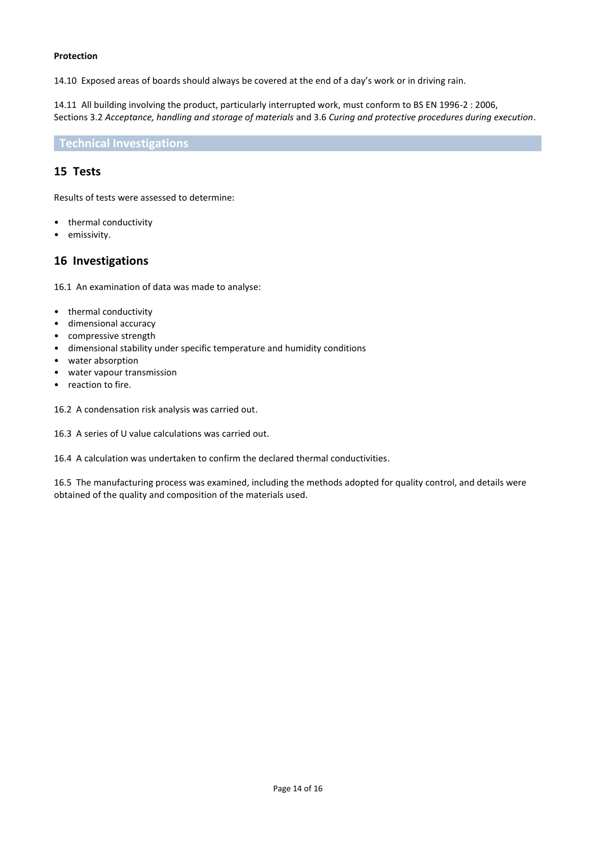#### **Protection**

14.10 Exposed areas of boards should always be covered at the end of a day's work or in driving rain.

14.11 All building involving the product, particularly interrupted work, must conform to BS EN 1996-2 : 2006, Sections 3.2 *Acceptance, handling and storage of materials* and 3.6 *Curing and protective procedures during execution*.

### **Technical Investigations**

### **15 Tests**

Results of tests were assessed to determine:

- thermal conductivity
- emissivity.

### **16 Investigations**

16.1 An examination of data was made to analyse:

- thermal conductivity
- dimensional accuracy
- compressive strength
- dimensional stability under specific temperature and humidity conditions
- water absorption
- water vapour transmission
- reaction to fire.

16.2 A condensation risk analysis was carried out.

16.3 A series of U value calculations was carried out.

16.4 A calculation was undertaken to confirm the declared thermal conductivities.

16.5 The manufacturing process was examined, including the methods adopted for quality control, and details were obtained of the quality and composition of the materials used.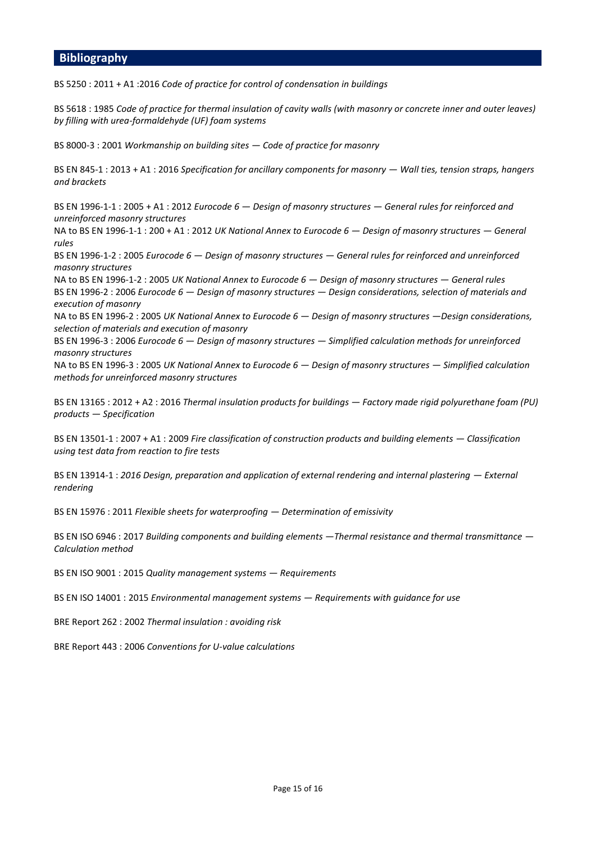### **Bibliography**

BS 5250 : 2011 + A1 :2016 *Code of practice for control of condensation in buildings* 

BS 5618 : 1985 *Code of practice for thermal insulation of cavity walls (with masonry or concrete inner and outer leaves) by filling with urea-formaldehyde (UF) foam systems* 

BS 8000-3 : 2001 *Workmanship on building sites — Code of practice for masonry*

BS EN 845-1 : 2013 + A1 : 2016 Specification for ancillary components for masonry — Wall ties, tension straps, hangers *and brackets*

BS EN 1996-1-1 : 2005 + A1 : 2012 *Eurocode 6 — Design of masonry structures — General rules for reinforced and unreinforced masonry structures*

NA to BS EN 1996-1-1 : 200 + A1 : 2012 *UK National Annex to Eurocode 6 — Design of masonry structures — General rules*

BS EN 1996-1-2 : 2005 *Eurocode 6 — Design of masonry structures — General rules for reinforced and unreinforced masonry structures*

NA to BS EN 1996-1-2 : 2005 *UK National Annex to Eurocode 6 — Design of masonry structures — General rules*  BS EN 1996-2 : 2006 *Eurocode 6 — Design of masonry structures — Design considerations, selection of materials and execution of masonry*

NA to BS EN 1996-2 : 2005 *UK National Annex to Eurocode 6 — Design of masonry structures —Design considerations, selection of materials and execution of masonry*

BS EN 1996-3 : 2006 *Eurocode 6 — Design of masonry structures — Simplified calculation methods for unreinforced masonry structures*

NA to BS EN 1996-3 : 2005 *UK National Annex to Eurocode 6 — Design of masonry structures — Simplified calculation methods for unreinforced masonry structures*

BS EN 13165 : 2012 + A2 : 2016 *Thermal insulation products for buildings — Factory made rigid polyurethane foam (PU) products — Specification*

BS EN 13501-1 : 2007 + A1 : 2009 *Fire classification of construction products and building elements — Classification using test data from reaction to fire tests*

BS EN 13914-1 : *2016* Design, preparation and application of external rendering and internal plastering — External *rendering*

BS EN 15976 : 2011 *Flexible sheets for waterproofing — Determination of emissivity*

BS EN ISO 6946 : 2017 *Building components and building elements —Thermal resistance and thermal transmittance — Calculation method*

BS EN ISO 9001 : 2015 *Quality management systems — Requirements*

BS EN ISO 14001 : 2015 *Environmental management systems — Requirements with guidance for use* 

BRE Report 262 : 2002 *Thermal insulation : avoiding risk*

BRE Report 443 : 2006 *Conventions for U-value calculations*